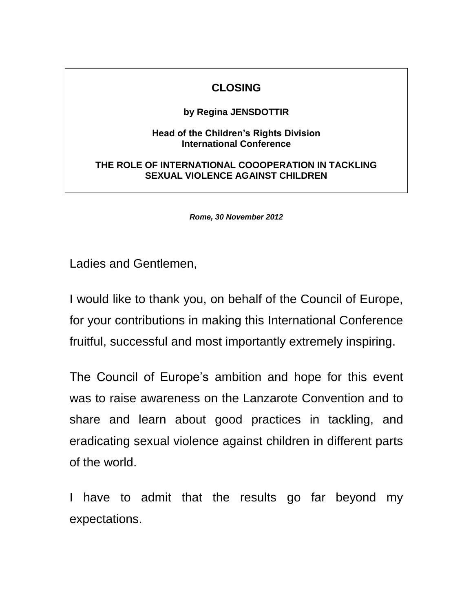## **CLOSING**

## **by Regina JENSDOTTIR**

## **Head of the Children's Rights Division International Conference**

## **THE ROLE OF INTERNATIONAL COOOPERATION IN TACKLING SEXUAL VIOLENCE AGAINST CHILDREN**

*Rome, 30 November 2012*

Ladies and Gentlemen,

I would like to thank you, on behalf of the Council of Europe, for your contributions in making this International Conference fruitful, successful and most importantly extremely inspiring.

The Council of Europe's ambition and hope for this event was to raise awareness on the Lanzarote Convention and to share and learn about good practices in tackling, and eradicating sexual violence against children in different parts of the world.

I have to admit that the results go far beyond my expectations.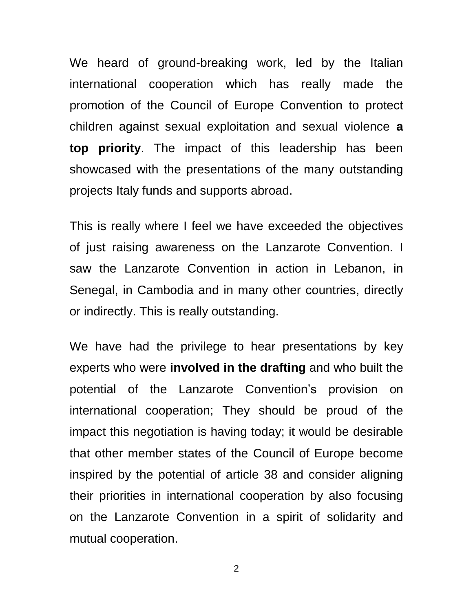We heard of ground-breaking work, led by the Italian international cooperation which has really made the promotion of the Council of Europe Convention to protect children against sexual exploitation and sexual violence **a top priority**. The impact of this leadership has been showcased with the presentations of the many outstanding projects Italy funds and supports abroad.

This is really where I feel we have exceeded the objectives of just raising awareness on the Lanzarote Convention. I saw the Lanzarote Convention in action in Lebanon, in Senegal, in Cambodia and in many other countries, directly or indirectly. This is really outstanding.

We have had the privilege to hear presentations by key experts who were **involved in the drafting** and who built the potential of the Lanzarote Convention's provision on international cooperation; They should be proud of the impact this negotiation is having today; it would be desirable that other member states of the Council of Europe become inspired by the potential of article 38 and consider aligning their priorities in international cooperation by also focusing on the Lanzarote Convention in a spirit of solidarity and mutual cooperation.

2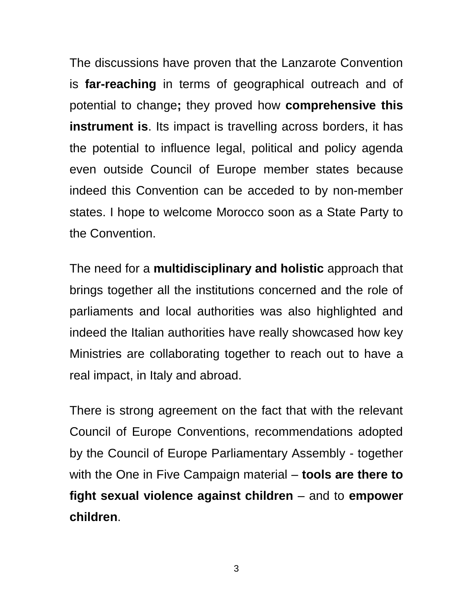The discussions have proven that the Lanzarote Convention is **far-reaching** in terms of geographical outreach and of potential to change**;** they proved how **comprehensive this instrument is**. Its impact is travelling across borders, it has the potential to influence legal, political and policy agenda even outside Council of Europe member states because indeed this Convention can be acceded to by non-member states. I hope to welcome Morocco soon as a State Party to the Convention.

The need for a **multidisciplinary and holistic** approach that brings together all the institutions concerned and the role of parliaments and local authorities was also highlighted and indeed the Italian authorities have really showcased how key Ministries are collaborating together to reach out to have a real impact, in Italy and abroad.

There is strong agreement on the fact that with the relevant Council of Europe Conventions, recommendations adopted by the Council of Europe Parliamentary Assembly - together with the One in Five Campaign material – **tools are there to fight sexual violence against children** – and to **empower children**.

3